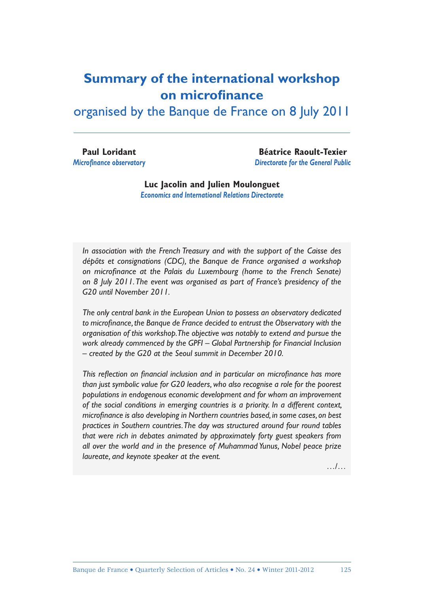#### **Summary of the international workshop on microfinance**

organised by the Banque de France on 8 July 2011

**Paul Loridant Microfinance observatory** 

**Béatrice Raoult-Texier** *Directorate for the General Public* 

**Luc Jacolin and Julien Moulonguet** *Economics and International Relations Directorate*

*In association with the French Treasury and with the support of the Caisse des dépôts et consignations (CDC), the Banque de France organised a workshop*  on microfinance at the Palais du Luxembourg (home to the French Senate) *on 8 July 2011. The event was organised as part of France's presidency of the G20 until November 2011.*

*The only central bank in the European Union to possess an observatory dedicated*  to microfinance, the Banque de France decided to entrust the Observatory with the *organisation of this workshop. The objective was notably to extend and pursue the work already commenced by the GPFI – Global Partnership for Financial Inclusion – created by the G20 at the Seoul summit in December 2010.*

This reflection on financial inclusion and in particular on microfinance has more *than just symbolic value for G20 leaders, who also recognise a role for the poorest populations in endogenous economic development and for whom an improvement of the social conditions in emerging countries is a priority. In a different context, microfinance is also developing in Northern countries based, in some cases, on best practices in Southern countries. The day was structured around four round tables that were rich in debates animated by approximately forty guest speakers from all over the world and in the presence of Muhammad Yunus, Nobel peace prize laureate, and keynote speaker at the event.*

…/…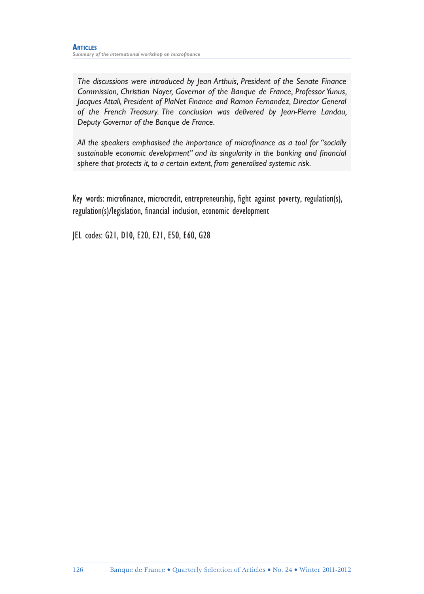*The discussions were introduced by Jean Arthuis, President of the Senate Finance Commission, Christian Noyer, Governor of the Banque de France, Professor Yunus, Jacques Attali, President of PlaNet Finance and Ramon Fernandez, Director General of the French Treasury. The conclusion was delivered by Jean-Pierre Landau, Deputy Governor of the Banque de France.*

All the speakers emphasised the importance of microfinance as a tool for "socially sustainable economic development" and its singularity in the banking and financial *sphere that protects it, to a certain extent, from generalised systemic risk.*

Key words: microfinance, microcredit, entrepreneurship, fight against poverty, regulation(s), regulation(s)/legislation, financial inclusion, economic development

JEL codes: G21, D10, E20, E21, E50, E60, G28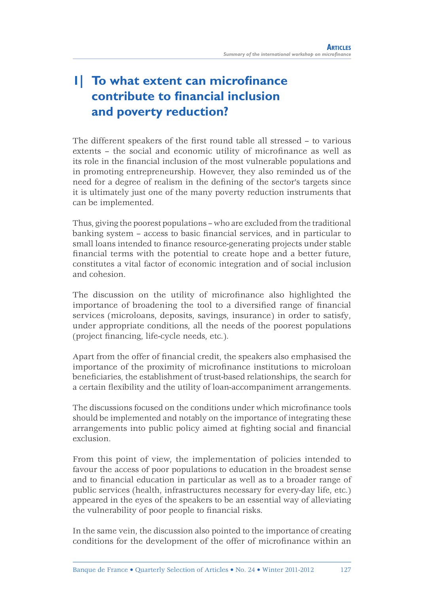# **1| To what extent can microfinance contribute to financial inclusion and poverty reduction?**

The different speakers of the first round table all stressed – to various extents - the social and economic utility of microfinance as well as its role in the financial inclusion of the most vulnerable populations and in promoting entrepreneurship. However, they also reminded us of the need for a degree of realism in the defining of the sector's targets since it is ultimately just one of the many poverty reduction instruments that can be implemented.

Thus, giving the poorest populations – who are excluded from the traditional banking system – access to basic financial services, and in particular to small loans intended to finance resource-generating projects under stable financial terms with the potential to create hope and a better future, constitutes a vital factor of economic integration and of social inclusion and cohesion.

The discussion on the utility of microfinance also highlighted the importance of broadening the tool to a diversified range of financial services (microloans, deposits, savings, insurance) in order to satisfy, under appropriate conditions, all the needs of the poorest populations (project financing, life-cycle needs, etc.).

Apart from the offer of financial credit, the speakers also emphasised the importance of the proximity of microfinance institutions to microloan beneficiaries, the establishment of trust-based relationships, the search for a certain flexibility and the utility of loan-accompaniment arrangements.

The discussions focused on the conditions under which microfinance tools should be implemented and notably on the importance of integrating these arrangements into public policy aimed at fighting social and financial exclusion.

From this point of view, the implementation of policies intended to favour the access of poor populations to education in the broadest sense and to financial education in particular as well as to a broader range of public services (health, infrastructures necessary for every-day life, etc.) appeared in the eyes of the speakers to be an essential way of alleviating the vulnerability of poor people to financial risks.

In the same vein, the discussion also pointed to the importance of creating conditions for the development of the offer of microfinance within an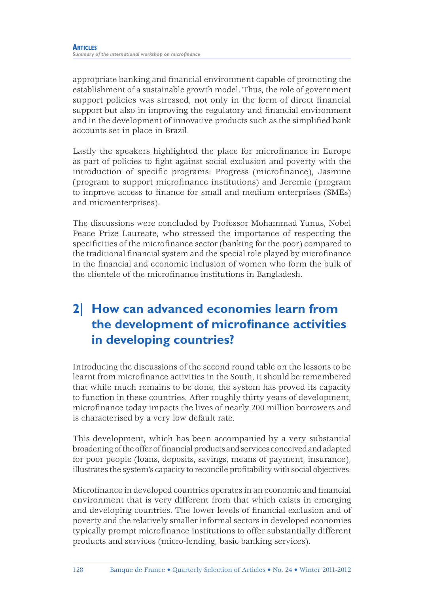appropriate banking and financial environment capable of promoting the establishment of a sustainable growth model. Thus, the role of government support policies was stressed, not only in the form of direct financial support but also in improving the regulatory and financial environment and in the development of innovative products such as the simplified bank accounts set in place in Brazil.

Lastly the speakers highlighted the place for microfinance in Europe as part of policies to fight against social exclusion and poverty with the introduction of specific programs: Progress (microfinance), Jasmine (program to support microfinance institutions) and Jeremie (program to improve access to finance for small and medium enterprises (SMEs) and microenterprises).

The discussions were concluded by Professor Mohammad Yunus, Nobel Peace Prize Laureate, who stressed the importance of respecting the specificities of the microfinance sector (banking for the poor) compared to the traditional financial system and the special role played by microfinance in the financial and economic inclusion of women who form the bulk of the clientele of the microfinance institutions in Bangladesh.

# **2| How can advanced economies learn from the development of microfinance activities in developing countries?**

Introducing the discussions of the second round table on the lessons to be learnt from microfinance activities in the South, it should be remembered that while much remains to be done, the system has proved its capacity to function in these countries. After roughly thirty years of development, microfinance today impacts the lives of nearly 200 million borrowers and is characterised by a very low default rate.

This development, which has been accompanied by a very substantial broadening of the offer of financial products and services conceived and adapted for poor people (loans, deposits, savings, means of payment, insurance), illustrates the system's capacity to reconcile profitability with social objectives.

Microfinance in developed countries operates in an economic and financial environment that is very different from that which exists in emerging and developing countries. The lower levels of financial exclusion and of poverty and the relatively smaller informal sectors in developed economies typically prompt microfinance institutions to offer substantially different products and services (micro-lending, basic banking services).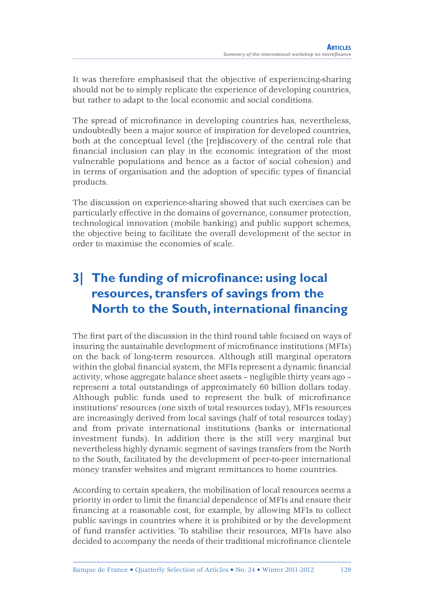It was therefore emphasised that the objective of experiencing-sharing should not be to simply replicate the experience of developing countries, but rather to adapt to the local economic and social conditions.

The spread of microfinance in developing countries has, nevertheless, undoubtedly been a major source of inspiration for developed countries, both at the conceptual level (the [re]discovery of the central role that financial inclusion can play in the economic integration of the most vulnerable populations and hence as a factor of social cohesion) and in terms of organisation and the adoption of specific types of financial products.

The discussion on experience-sharing showed that such exercises can be particularly effective in the domains of governance, consumer protection, technological innovation (mobile banking) and public support schemes, the objective being to facilitate the overall development of the sector in order to maximise the economies of scale.

# **3** The funding of microfinance: using local **resources, transfers of savings from the North to the South, international financing**

The first part of the discussion in the third round table focused on ways of insuring the sustainable development of microfinance institutions (MFIs) on the back of long-term resources. Although still marginal operators within the global financial system, the MFIs represent a dynamic financial activity, whose aggregate balance sheet assets – negligible thirty years ago – represent a total outstandings of approximately 60 billion dollars today. Although public funds used to represent the bulk of microfinance institutions' resources (one sixth of total resources today), MFIs resources are increasingly derived from local savings (half of total resources today) and from private international institutions (banks or international investment funds). In addition there is the still very marginal but nevertheless highly dynamic segment of savings transfers from the North to the South, facilitated by the development of peer-to-peer international money transfer websites and migrant remittances to home countries.

According to certain speakers, the mobilisation of local resources seems a priority in order to limit the financial dependence of MFIs and ensure their financing at a reasonable cost, for example, by allowing MFIs to collect public savings in countries where it is prohibited or by the development of fund transfer activities. To stabilise their resources, MFIs have also decided to accompany the needs of their traditional microfinance clientele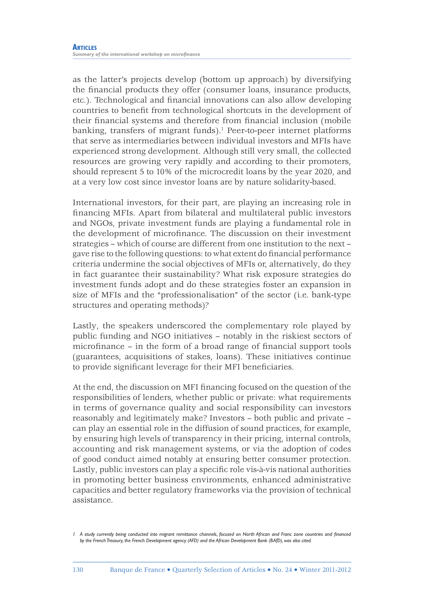as the latter's projects develop (bottom up approach) by diversifying the financial products they offer (consumer loans, insurance products, etc.). Technological and financial innovations can also allow developing countries to benefit from technological shortcuts in the development of their financial systems and therefore from financial inclusion (mobile) banking, transfers of migrant funds).<sup>1</sup> Peer-to-peer internet platforms that serve as intermediaries between individual investors and MFIs have experienced strong development. Although still very small, the collected resources are growing very rapidly and according to their promoters, should represent 5 to 10% of the microcredit loans by the year 2020, and at a very low cost since investor loans are by nature solidarity-based.

International investors, for their part, are playing an increasing role in financing MFIs. Apart from bilateral and multilateral public investors and NGOs, private investment funds are playing a fundamental role in the development of microfinance. The discussion on their investment strategies – which of course are different from one institution to the next – gave rise to the following questions: to what extent do financial performance criteria undermine the social objectives of MFIs or, alternatively, do they in fact guarantee their sustainability? What risk exposure strategies do investment funds adopt and do these strategies foster an expansion in size of MFIs and the "professionalisation" of the sector (i.e. bank-type structures and operating methods)?

Lastly, the speakers underscored the complementary role played by public funding and NGO initiatives – notably in the riskiest sectors of microfinance – in the form of a broad range of financial support tools (guarantees, acquisitions of stakes, loans). These initiatives continue to provide significant leverage for their MFI beneficiaries.

At the end, the discussion on MFI financing focused on the question of the responsibilities of lenders, whether public or private: what requirements in terms of governance quality and social responsibility can investors reasonably and legitimately make? Investors – both public and private – can play an essential role in the diffusion of sound practices, for example, by ensuring high levels of transparency in their pricing, internal controls, accounting and risk management systems, or via the adoption of codes of good conduct aimed notably at ensuring better consumer protection. Lastly, public investors can play a specific role vis-à-vis national authorities in promoting better business environments, enhanced administrative capacities and better regulatory frameworks via the provision of technical assistance.

*<sup>1</sup> A study currently being conducted into migrant remittance channels, focused on North African and Franc zone countries and fi nanced by the French Treasury, the French Development agency (AFD) and the African Development Bank (BAfD), was also cited.*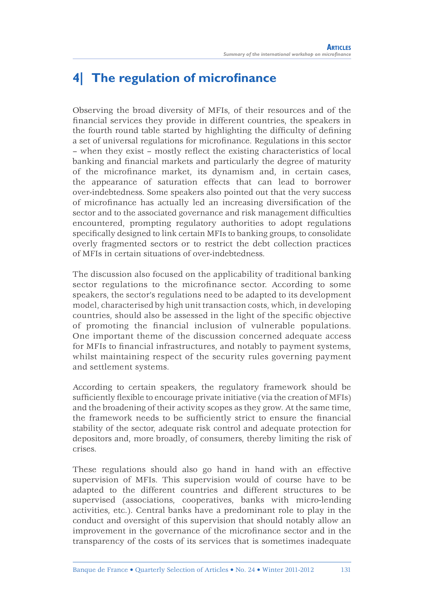#### **4** The regulation of microfinance

Observing the broad diversity of MFIs, of their resources and of the financial services they provide in different countries, the speakers in the fourth round table started by highlighting the difficulty of defining a set of universal regulations for microfinance. Regulations in this sector – when they exist – mostly reflect the existing characteristics of local banking and financial markets and particularly the degree of maturity of the microfinance market, its dynamism and, in certain cases, the appearance of saturation effects that can lead to borrower over-indebtedness. Some speakers also pointed out that the very success of microfinance has actually led an increasing diversification of the sector and to the associated governance and risk management difficulties encountered, prompting regulatory authorities to adopt regulations specifically designed to link certain MFIs to banking groups, to consolidate overly fragmented sectors or to restrict the debt collection practices of MFIs in certain situations of over-indebtedness.

The discussion also focused on the applicability of traditional banking sector regulations to the microfinance sector. According to some speakers, the sector's regulations need to be adapted to its development model, characterised by high unit transaction costs, which, in developing countries, should also be assessed in the light of the specific objective of promoting the financial inclusion of vulnerable populations. One important theme of the discussion concerned adequate access for MFIs to financial infrastructures, and notably to payment systems, whilst maintaining respect of the security rules governing payment and settlement systems.

According to certain speakers, the regulatory framework should be sufficiently flexible to encourage private initiative (via the creation of MFIs) and the broadening of their activity scopes as they grow. At the same time, the framework needs to be sufficiently strict to ensure the financial stability of the sector, adequate risk control and adequate protection for depositors and, more broadly, of consumers, thereby limiting the risk of crises.

These regulations should also go hand in hand with an effective supervision of MFIs. This supervision would of course have to be adapted to the different countries and different structures to be supervised (associations, cooperatives, banks with micro-lending activities, etc.). Central banks have a predominant role to play in the conduct and oversight of this supervision that should notably allow an improvement in the governance of the microfinance sector and in the transparency of the costs of its services that is sometimes inadequate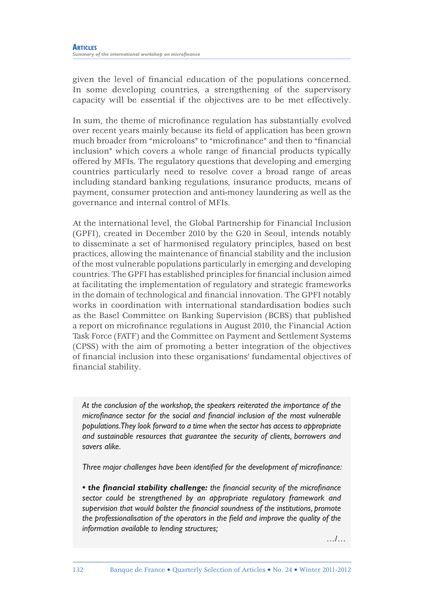given the level of financial education of the populations concerned. In some developing countries, a strengthening of the supervisory capacity will be essential if the objectives are to be met effectively.

In sum, the theme of microfinance regulation has substantially evolved over recent years mainly because its field of application has been grown much broader from "microloans" to "microfinance" and then to "financial inclusion" which covers a whole range of financial products typically offered by MFIs. The regulatory questions that developing and emerging countries particularly need to resolve cover a broad range of areas including standard banking regulations, insurance products, means of payment, consumer protection and anti-money laundering as well as the governance and internal control of MFIs.

At the international level, the Global Partnership for Financial Inclusion (GPFI), created in December 2010 by the G20 in Seoul, intends notably to disseminate a set of harmonised regulatory principles, based on best practices, allowing the maintenance of financial stability and the inclusion of the most vulnerable populations particularly in emerging and developing countries. The GPFI has established principles for financial inclusion aimed at facilitating the implementation of regulatory and strategic frameworks in the domain of technological and financial innovation. The GPFI notably works in coordination with international standardisation bodies such as the Basel Committee on Banking Supervision (BCBS) that published a report on microfinance regulations in August 2010, the Financial Action Task Force (FATF) and the Committee on Payment and Settlement Systems (CPSS) with the aim of promoting a better integration of the objectives of fi nancial inclusion into these organisations' fundamental objectives of financial stability.

*At the conclusion of the workshop, the speakers reiterated the importance of the microfinance sector for the social and financial inclusion of the most vulnerable populations. They look forward to a time when the sector has access to appropriate and sustainable resources that guarantee the security of clients, borrowers and savers alike.*

*Three major challenges have been identified for the development of microfinance:* 

• the financial stability challenge: the financial security of the microfinance *sector could be strengthened by an appropriate regulatory framework and*  supervision that would bolster the financial soundness of the institutions, promote the professionalisation of the operators in the field and improve the quality of the *information available to lending structures;*

…/…